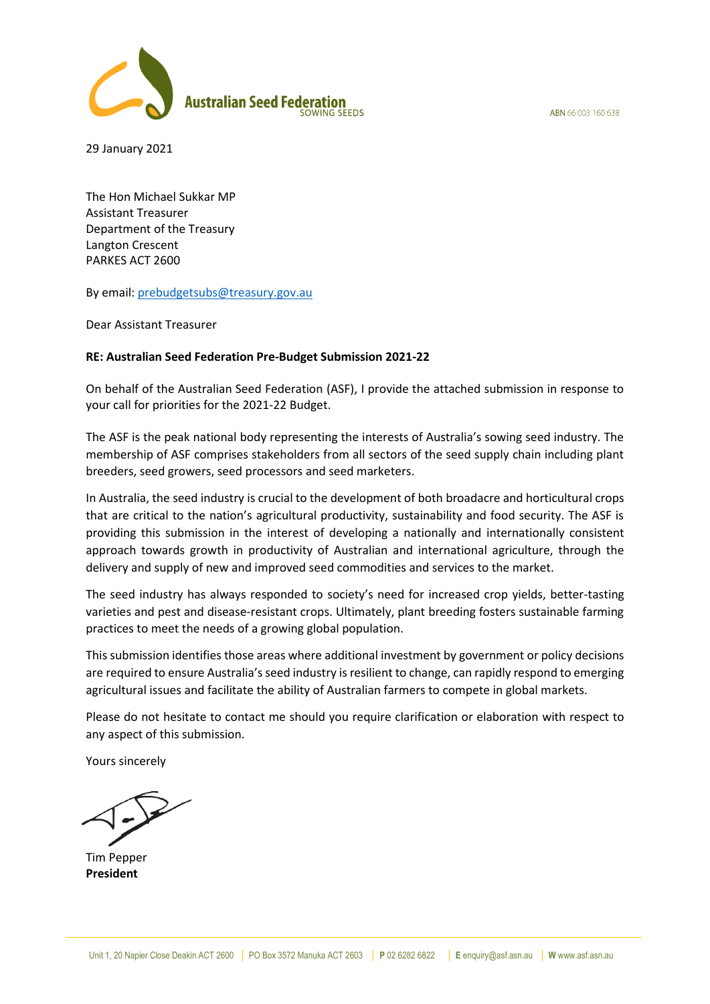ARN 66,003,160,638



29 January 2021

The Hon Michael Sukkar MP Assistant Treasurer Department of the Treasury Langton Crescent PARKES ACT 2600

By email: [prebudgetsubs@treasury.gov.au](mailto:prebudgetsubs@treasury.gov.au)

Dear Assistant Treasurer

### **RE: Australian Seed Federation Pre-Budget Submission 2021-22**

On behalf of the Australian Seed Federation (ASF), I provide the attached submission in response to your call for priorities for the 2021-22 Budget.

The ASF is the peak national body representing the interests of Australia's sowing seed industry. The membership of ASF comprises stakeholders from all sectors of the seed supply chain including plant breeders, seed growers, seed processors and seed marketers.

In Australia, the seed industry is crucial to the development of both broadacre and horticultural crops that are critical to the nation's agricultural productivity, sustainability and food security. The ASF is providing this submission in the interest of developing a nationally and internationally consistent approach towards growth in productivity of Australian and international agriculture, through the delivery and supply of new and improved seed commodities and services to the market.

The seed industry has always responded to society's need for increased crop yields, better-tasting varieties and pest and disease-resistant crops. Ultimately, plant breeding fosters sustainable farming practices to meet the needs of a growing global population.

This submission identifies those areas where additional investment by government or policy decisions are required to ensure Australia's seed industry is resilient to change, can rapidly respond to emerging agricultural issues and facilitate the ability of Australian farmers to compete in global markets.

Please do not hesitate to contact me should you require clarification or elaboration with respect to any aspect of this submission.

Yours sincerely

Tim Pepper **President**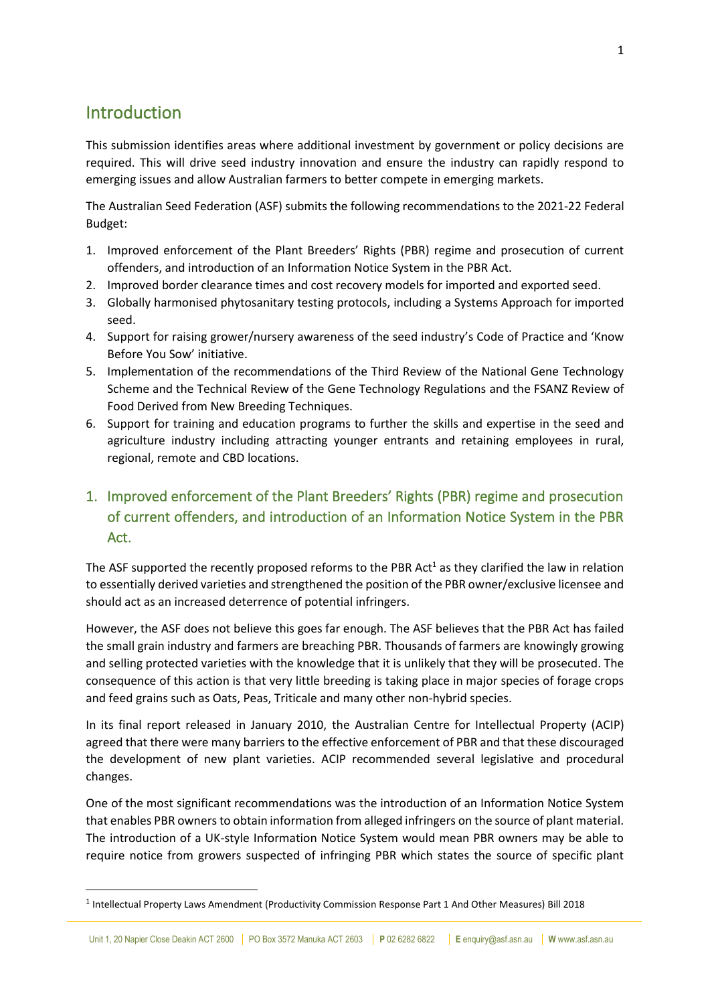# Introduction

This submission identifies areas where additional investment by government or policy decisions are required. This will drive seed industry innovation and ensure the industry can rapidly respond to emerging issues and allow Australian farmers to better compete in emerging markets.

The Australian Seed Federation (ASF) submits the following recommendations to the 2021-22 Federal Budget:

- 1. Improved enforcement of the Plant Breeders' Rights (PBR) regime and prosecution of current offenders, and introduction of an Information Notice System in the PBR Act.
- 2. Improved border clearance times and cost recovery models for imported and exported seed.
- 3. Globally harmonised phytosanitary testing protocols, including a Systems Approach for imported seed.
- 4. Support for raising grower/nursery awareness of the seed industry's Code of Practice and 'Know Before You Sow' initiative.
- 5. Implementation of the recommendations of the Third Review of the National Gene Technology Scheme and the Technical Review of the Gene Technology Regulations and the FSANZ Review of Food Derived from New Breeding Techniques.
- 6. Support for training and education programs to further the skills and expertise in the seed and agriculture industry including attracting younger entrants and retaining employees in rural, regional, remote and CBD locations.

# 1. Improved enforcement of the Plant Breeders' Rights (PBR) regime and prosecution of current offenders, and introduction of an Information Notice System in the PBR Act.

The ASF supported the recently proposed reforms to the PBR Act<sup>1</sup> as they clarified the law in relation to essentially derived varieties and strengthened the position of the PBR owner/exclusive licensee and should act as an increased deterrence of potential infringers.

However, the ASF does not believe this goes far enough. The ASF believes that the PBR Act has failed the small grain industry and farmers are breaching PBR. Thousands of farmers are knowingly growing and selling protected varieties with the knowledge that it is unlikely that they will be prosecuted. The consequence of this action is that very little breeding is taking place in major species of forage crops and feed grains such as Oats, Peas, Triticale and many other non-hybrid species.

In its final report released in January 2010, the Australian Centre for Intellectual Property (ACIP) agreed that there were many barriers to the effective enforcement of PBR and that these discouraged the development of new plant varieties. ACIP recommended several legislative and procedural changes.

One of the most significant recommendations was the introduction of an Information Notice System that enables PBR owners to obtain information from alleged infringers on the source of plant material. The introduction of a UK-style Information Notice System would mean PBR owners may be able to require notice from growers suspected of infringing PBR which states the source of specific plant

<sup>&</sup>lt;sup>1</sup> Intellectual Property Laws Amendment (Productivity Commission Response Part 1 And Other Measures) Bill 2018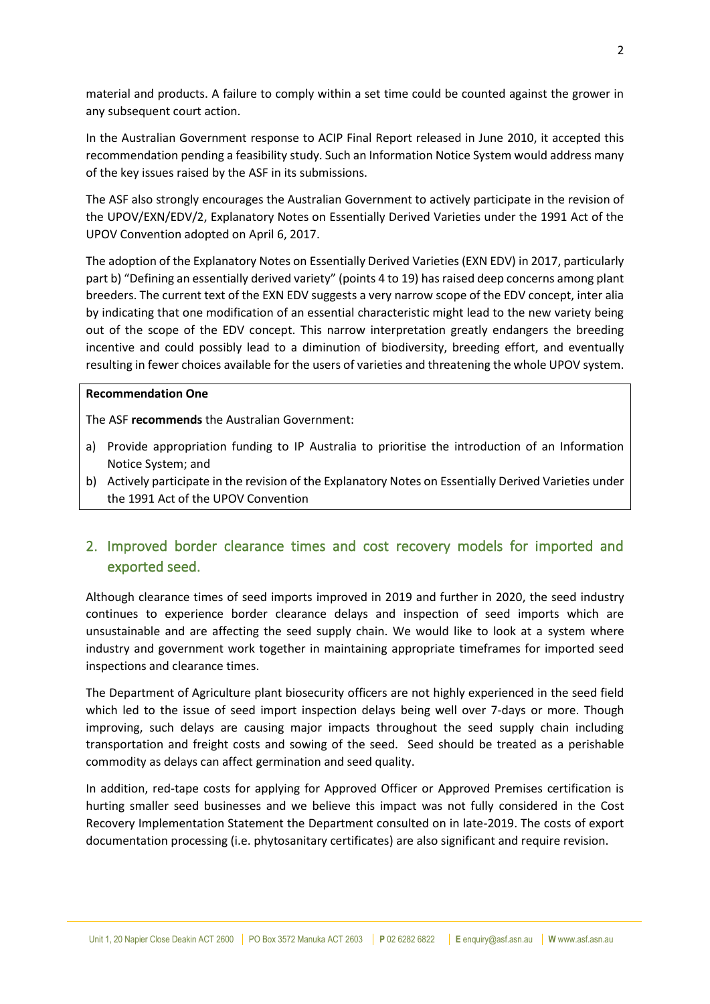material and products. A failure to comply within a set time could be counted against the grower in any subsequent court action.

In the Australian Government response to ACIP Final Report released in June 2010, it accepted this recommendation pending a feasibility study. Such an Information Notice System would address many of the key issues raised by the ASF in its submissions.

The ASF also strongly encourages the Australian Government to actively participate in the revision of the UPOV/EXN/EDV/2, Explanatory Notes on Essentially Derived Varieties under the 1991 Act of the UPOV Convention adopted on April 6, 2017.

The adoption of the Explanatory Notes on Essentially Derived Varieties (EXN EDV) in 2017, particularly part b) "Defining an essentially derived variety" (points 4 to 19) has raised deep concerns among plant breeders. The current text of the EXN EDV suggests a very narrow scope of the EDV concept, inter alia by indicating that one modification of an essential characteristic might lead to the new variety being out of the scope of the EDV concept. This narrow interpretation greatly endangers the breeding incentive and could possibly lead to a diminution of biodiversity, breeding effort, and eventually resulting in fewer choices available for the users of varieties and threatening the whole UPOV system.

### **Recommendation One**

The ASF **recommends** the Australian Government:

- a) Provide appropriation funding to IP Australia to prioritise the introduction of an Information Notice System; and
- b) Actively participate in the revision of the Explanatory Notes on Essentially Derived Varieties under the 1991 Act of the UPOV Convention

## 2. Improved border clearance times and cost recovery models for imported and exported seed.

Although clearance times of seed imports improved in 2019 and further in 2020, the seed industry continues to experience border clearance delays and inspection of seed imports which are unsustainable and are affecting the seed supply chain. We would like to look at a system where industry and government work together in maintaining appropriate timeframes for imported seed inspections and clearance times.

The Department of Agriculture plant biosecurity officers are not highly experienced in the seed field which led to the issue of seed import inspection delays being well over 7-days or more. Though improving, such delays are causing major impacts throughout the seed supply chain including transportation and freight costs and sowing of the seed. Seed should be treated as a perishable commodity as delays can affect germination and seed quality.

In addition, red-tape costs for applying for Approved Officer or Approved Premises certification is hurting smaller seed businesses and we believe this impact was not fully considered in the Cost Recovery Implementation Statement the Department consulted on in late-2019. The costs of export documentation processing (i.e. phytosanitary certificates) are also significant and require revision.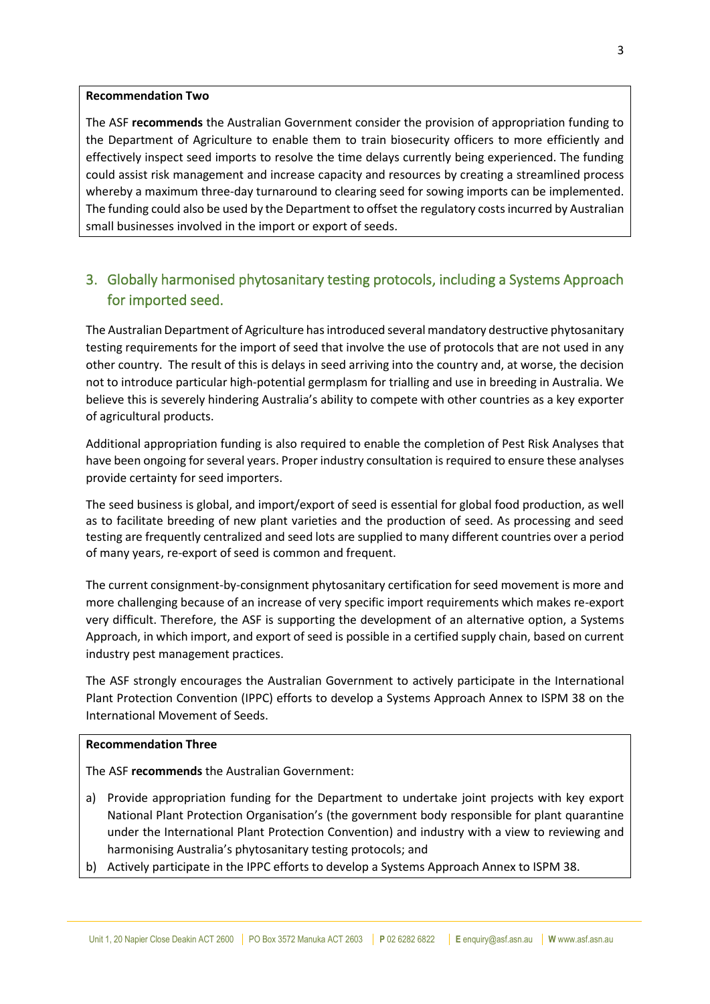#### **Recommendation Two**

The ASF **recommends** the Australian Government consider the provision of appropriation funding to the Department of Agriculture to enable them to train biosecurity officers to more efficiently and effectively inspect seed imports to resolve the time delays currently being experienced. The funding could assist risk management and increase capacity and resources by creating a streamlined process whereby a maximum three-day turnaround to clearing seed for sowing imports can be implemented. The funding could also be used by the Department to offset the regulatory costs incurred by Australian small businesses involved in the import or export of seeds.

## 3. Globally harmonised phytosanitary testing protocols, including a Systems Approach for imported seed.

The Australian Department of Agriculture has introduced several mandatory destructive phytosanitary testing requirements for the import of seed that involve the use of protocols that are not used in any other country. The result of this is delays in seed arriving into the country and, at worse, the decision not to introduce particular high-potential germplasm for trialling and use in breeding in Australia. We believe this is severely hindering Australia's ability to compete with other countries as a key exporter of agricultural products.

Additional appropriation funding is also required to enable the completion of Pest Risk Analyses that have been ongoing for several years. Proper industry consultation is required to ensure these analyses provide certainty for seed importers.

The seed business is global, and import/export of seed is essential for global food production, as well as to facilitate breeding of new plant varieties and the production of seed. As processing and seed testing are frequently centralized and seed lots are supplied to many different countries over a period of many years, re-export of seed is common and frequent.

The current consignment-by-consignment phytosanitary certification for seed movement is more and more challenging because of an increase of very specific import requirements which makes re-export very difficult. Therefore, the ASF is supporting the development of an alternative option, a Systems Approach, in which import, and export of seed is possible in a certified supply chain, based on current industry pest management practices.

The ASF strongly encourages the Australian Government to actively participate in the International Plant Protection Convention (IPPC) efforts to develop a Systems Approach Annex to ISPM 38 on the International Movement of Seeds.

#### **Recommendation Three**

The ASF **recommends** the Australian Government:

- a) Provide appropriation funding for the Department to undertake joint projects with key export National Plant Protection Organisation's (the government body responsible for plant quarantine under the International Plant Protection Convention) and industry with a view to reviewing and harmonising Australia's phytosanitary testing protocols; and
- b) Actively participate in the IPPC efforts to develop a Systems Approach Annex to ISPM 38.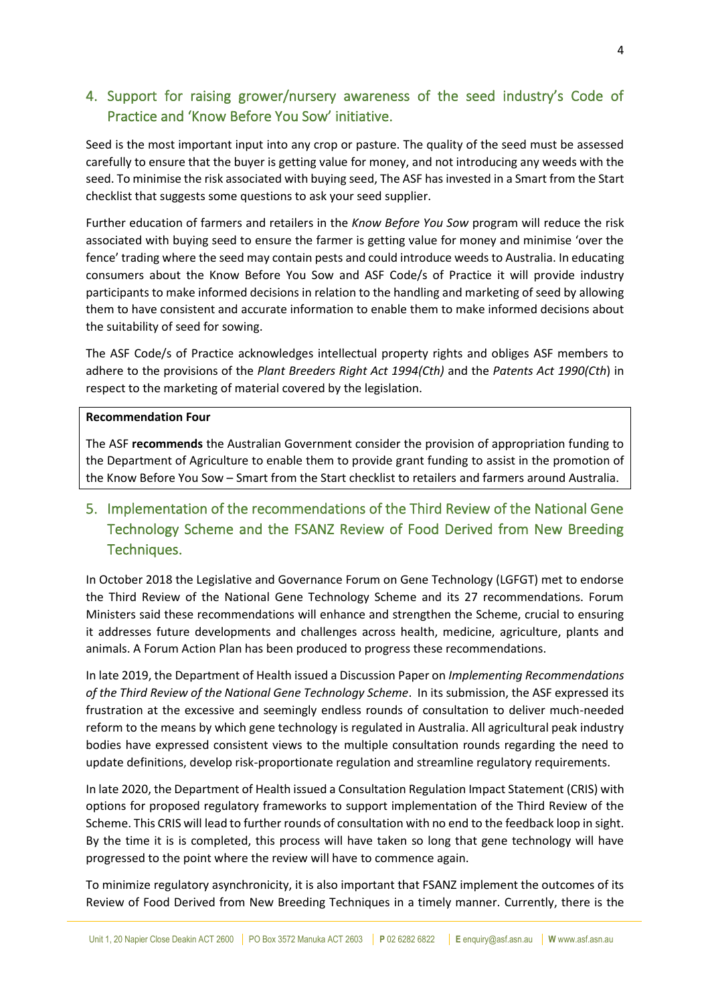## 4. Support for raising grower/nursery awareness of the seed industry's Code of Practice and 'Know Before You Sow' initiative.

Seed is the most important input into any crop or pasture. The quality of the seed must be assessed carefully to ensure that the buyer is getting value for money, and not introducing any weeds with the seed. To minimise the risk associated with buying seed, The ASF has invested in a Smart from the Start checklist that suggests some questions to ask your seed supplier.

Further education of farmers and retailers in the *Know Before You Sow* program will reduce the risk associated with buying seed to ensure the farmer is getting value for money and minimise 'over the fence' trading where the seed may contain pests and could introduce weeds to Australia. In educating consumers about the Know Before You Sow and ASF Code/s of Practice it will provide industry participants to make informed decisions in relation to the handling and marketing of seed by allowing them to have consistent and accurate information to enable them to make informed decisions about the suitability of seed for sowing.

The ASF Code/s of Practice acknowledges intellectual property rights and obliges ASF members to adhere to the provisions of the *Plant Breeders Right Act 1994(Cth)* and the *Patents Act 1990(Cth*) in respect to the marketing of material covered by the legislation.

### **Recommendation Four**

The ASF **recommends** the Australian Government consider the provision of appropriation funding to the Department of Agriculture to enable them to provide grant funding to assist in the promotion of the Know Before You Sow – Smart from the Start checklist to retailers and farmers around Australia.

# 5. Implementation of the recommendations of the Third Review of the National Gene Technology Scheme and the FSANZ Review of Food Derived from New Breeding Techniques.

In October 2018 the Legislative and Governance Forum on Gene Technology (LGFGT) met to endorse the Third Review of the National Gene Technology Scheme and its 27 recommendations. Forum Ministers said these recommendations will enhance and strengthen the Scheme, crucial to ensuring it addresses future developments and challenges across health, medicine, agriculture, plants and animals. A Forum Action Plan has been produced to progress these recommendations.

In late 2019, the Department of Health issued a Discussion Paper on *Implementing Recommendations of the Third Review of the National Gene Technology Scheme*. In its submission, the ASF expressed its frustration at the excessive and seemingly endless rounds of consultation to deliver much-needed reform to the means by which gene technology is regulated in Australia. All agricultural peak industry bodies have expressed consistent views to the multiple consultation rounds regarding the need to update definitions, develop risk-proportionate regulation and streamline regulatory requirements.

In late 2020, the Department of Health issued a Consultation Regulation Impact Statement (CRIS) with options for proposed regulatory frameworks to support implementation of the Third Review of the Scheme. This CRIS will lead to further rounds of consultation with no end to the feedback loop in sight. By the time it is is completed, this process will have taken so long that gene technology will have progressed to the point where the review will have to commence again.

To minimize regulatory asynchronicity, it is also important that FSANZ implement the outcomes of its Review of Food Derived from New Breeding Techniques in a timely manner. Currently, there is the